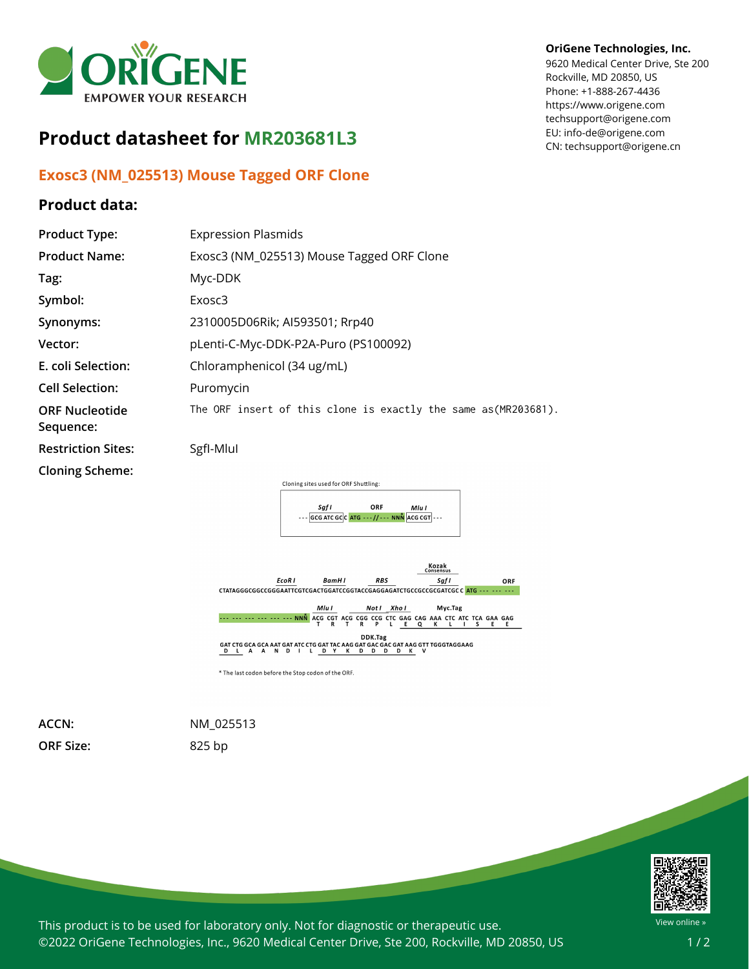

## **Product datasheet for MR203681L3**

## **Exosc3 (NM\_025513) Mouse Tagged ORF Clone**

## **Product data:**

## **OriGene Technologies, Inc.**

9620 Medical Center Drive, Ste 200 Rockville, MD 20850, US Phone: +1-888-267-4436 https://www.origene.com techsupport@origene.com EU: info-de@origene.com CN: techsupport@origene.cn

| <b>Product Type:</b>               | <b>Expression Plasmids</b>                                                                  |
|------------------------------------|---------------------------------------------------------------------------------------------|
| <b>Product Name:</b>               | Exosc3 (NM_025513) Mouse Tagged ORF Clone                                                   |
| Tag:                               | Myc-DDK                                                                                     |
| Symbol:                            | Exosc3                                                                                      |
| Synonyms:                          | 2310005D06Rik; AI593501; Rrp40                                                              |
| Vector:                            | pLenti-C-Myc-DDK-P2A-Puro (PS100092)                                                        |
| E. coli Selection:                 | Chloramphenicol (34 ug/mL)                                                                  |
| <b>Cell Selection:</b>             | Puromycin                                                                                   |
| <b>ORF Nucleotide</b><br>Sequence: | The ORF insert of this clone is exactly the same as(MR203681).                              |
| <b>Restriction Sites:</b>          | SgfI-Mlul                                                                                   |
| <b>Cloning Scheme:</b>             |                                                                                             |
|                                    | Cloning sites used for ORF Shuttling:                                                       |
|                                    | ORF<br>Saf I<br>Mlu I<br>$\cdots$ GCG ATC GCC ATG $\cdots$ // $\cdots$ NNN ACG CGT $\cdots$ |



**ORF Size:** 825 bp

**ACCN:** NM\_025513



This product is to be used for laboratory only. Not for diagnostic or therapeutic use. ©2022 OriGene Technologies, Inc., 9620 Medical Center Drive, Ste 200, Rockville, MD 20850, US